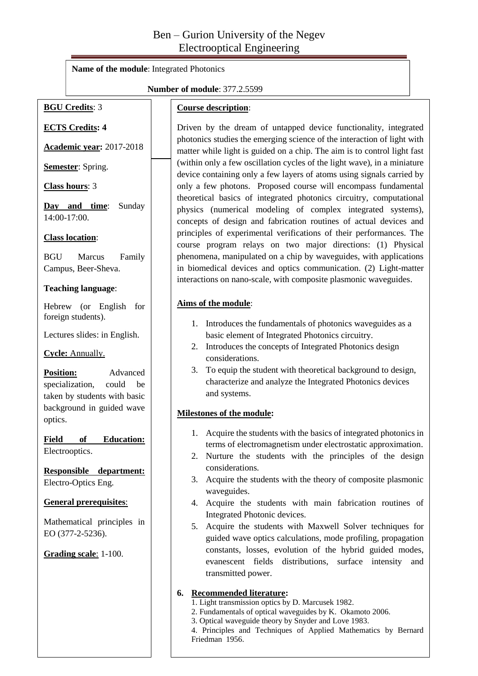# Ben – Gurion University of the Negev Electrooptical Engineering

**Name of the module**: Integrated Photonics

#### **Number of module**: 377.2.5599

### **BGU Credits**: 3

#### **Course description**:

**ECTS Credits: 4**

**Academic year:** 2017-2018

**Semester**: Spring.

**Class hours**: 3

**Day and time**: Sunday 14:00-17:00.

#### **Class location**:

BGU Marcus Family Campus, Beer-Sheva.

#### **Teaching language**:

Hebrew (or English for foreign students).

Lectures slides: in English.

**Cycle:** Annually.

**Position:** Advanced specialization, could be taken by students with basic background in guided wave optics.

**Field of Education:** Electrooptics.

**Responsible department:**  Electro-Optics Eng.

#### **General prerequisites**:

Mathematical principles in EO (377-2-5236).

**Grading scale**: 1-100.

Driven by the dream of untapped device functionality, integrated photonics studies the emerging science of the interaction of light with matter while light is guided on a chip. The aim is to control light fast (within only a few oscillation cycles of the light wave), in a miniature device containing only a few layers of atoms using signals carried by only a few photons. Proposed course will encompass fundamental theoretical basics of integrated photonics circuitry, computational physics (numerical modeling of complex integrated systems), concepts of design and fabrication routines of actual devices and principles of experimental verifications of their performances. The course program relays on two major directions: (1) Physical phenomena, manipulated on a chip by waveguides, with applications in biomedical devices and optics communication. (2) Light-matter interactions on nano-scale, with composite plasmonic waveguides.

#### **Aims of the module**:

- 1. Introduces the fundamentals of photonics waveguides as a basic element of Integrated Photonics circuitry.
- 2. Introduces the concepts of Integrated Photonics design considerations.
- 3. To equip the student with theoretical background to design, characterize and analyze the Integrated Photonics devices and systems.

#### **Milestones of the module:**

- 1. Acquire the students with the basics of integrated photonics in terms of electromagnetism under electrostatic approximation.
- 2. Nurture the students with the principles of the design considerations.
- 3. Acquire the students with the theory of composite plasmonic waveguides.
- 4. Acquire the students with main fabrication routines of Integrated Photonic devices.
- 5. Acquire the students with Maxwell Solver techniques for guided wave optics calculations, mode profiling, propagation constants, losses, evolution of the hybrid guided modes, evanescent fields distributions, surface intensity and transmitted power.

#### **6. Recommended literature:**

- 1. Light transmission optics by D. Marcusek 1982.
- 2. Fundamentals of optical waveguides by K. Okamoto 2006.
- 3. Optical waveguide theory by Snyder and Love 1983.

1 Friedman 1956.4. Principles and Techniques of Applied Mathematics by Bernard